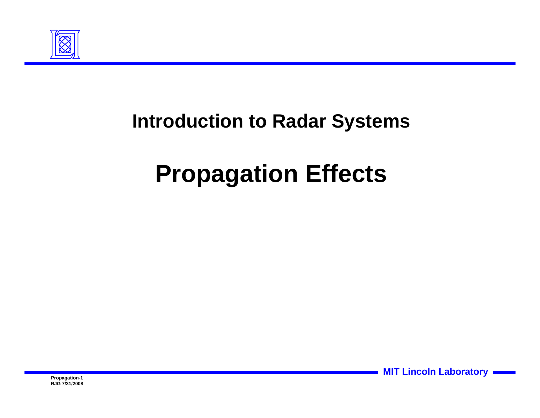

#### **Introduction to Radar Systems**

# **Propagation Effects**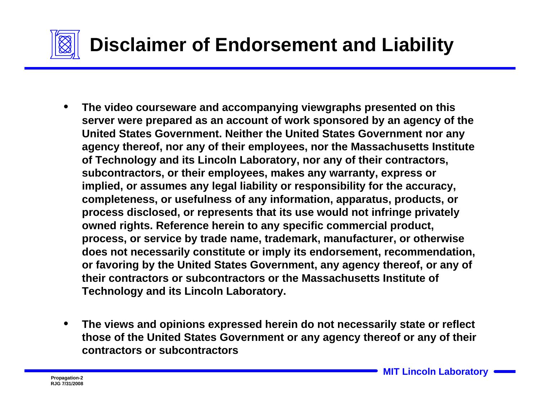

- **The video courseware and accompanying viewgraphs presented on this server were prepared as an account of work sponsored by an agency of the United States Government. Neither the United States Government nor any agency thereof, nor any of their employees, nor the Massachusetts Institute of Technology and its Lincoln Laboratory, nor any of their contractors, subcontractors, or their employees, makes any warranty, express or implied, or assumes any legal liability or responsibility for the accuracy, completeness, or usefulness of any information, apparatus, products, or process disclosed, or represents that its use would not infringe privately owned rights. Reference herein to any specific commercial product, process, or service by trade name, trademark, manufacturer, or otherwise does not necessarily constitute or imply its endorsement, recommendation, or favoring by the United States Government, any agency thereof, or any of their contractors or subcontractors or the Massachusetts Institute of Technology and its Lincoln Laboratory.**
- **The views and opinions expressed herein do not necessarily state or reflect those of the United States Government or any agency thereof or any of their contractors or subcontractors**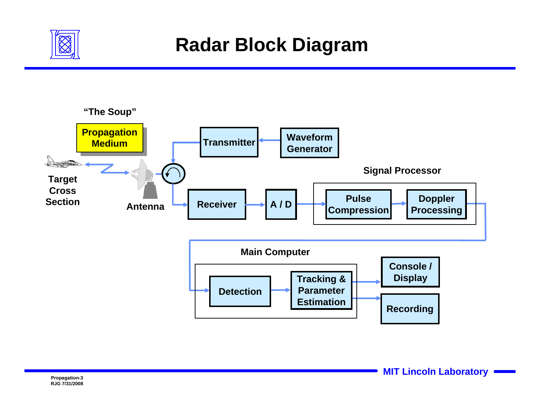

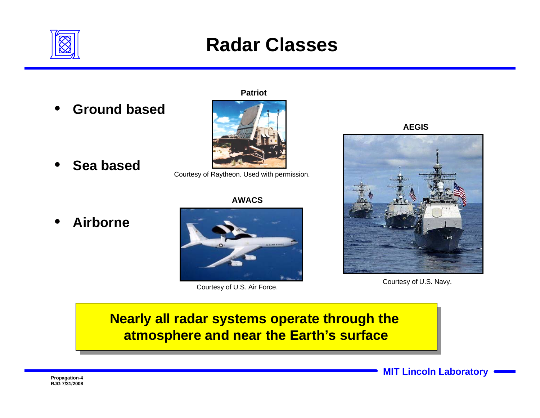

#### **Radar Classes**

• **Ground based**

**Patriot**



• **Sea based**

Courtesy of Raytheon. Used with permission.

**AWACS**



**AEGIS**



Courtesy of U.S. Air Force. Courtesy of U.S. Navy.

#### **Nearly all radar systems operate through the Nearly all radar systems operate through the atmosphere and near the Earth's surface atmosphere and near the Earth's surface**



• **Airborne**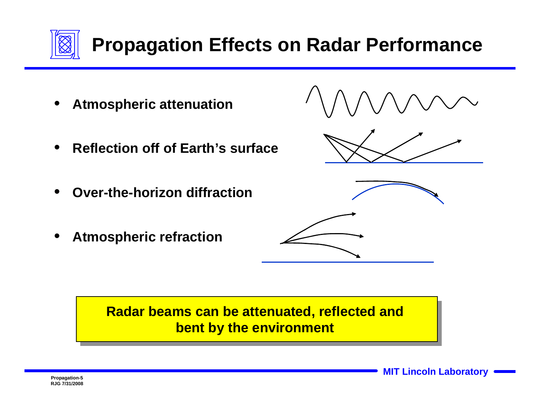

## **Propagation Effects on Radar Performance**

- **Atmospheric attenuation**
- **Reflection off of Earth's surface**
- **Over-the-horizon diffraction**
- **Atmospheric refraction**



#### **Radar beams can be attenuated, reflected and Radar beams can be attenuated, reflected and bent by the environment bent by the environment**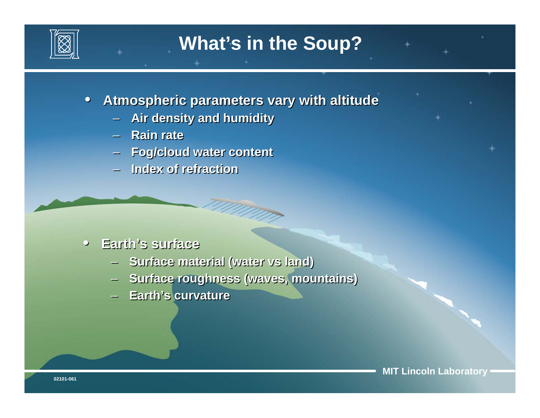

• **Atmospheric parameters vary with altitude** • **Atmospheric parameters vary with altitude**

- **Air density and humidity Air density and humidity**
- **Rain rate Rain rate**
- **Fog/cloud water content Fog/cloud water content**
- **Index of refraction Index of refraction**

#### • **Earth's surface** • **Earth's surface**

- **Surface material (water vs land) Surface material (water vs land)**
- **Surface roughness (waves, mountains) Surface roughness (waves, mountains)**

any indri

– **Earth's curvature** – **Earth's curvature**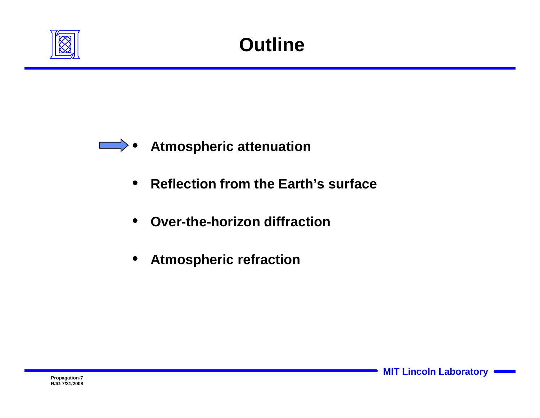



- **Reflection from the Earth's surface**
- **Over-the-horizon diffraction**
- **Atmospheric refraction**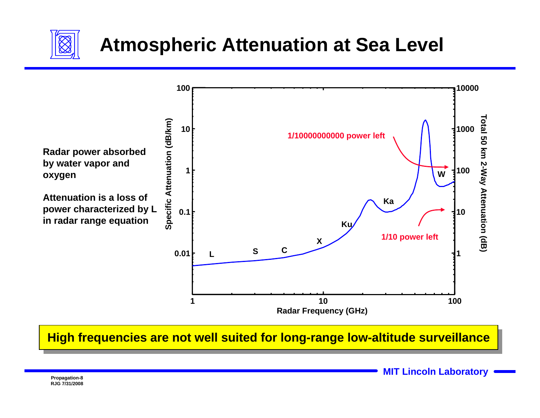

#### **Atmospheric Attenuation at Sea Level**



#### **High frequencies are not well suited for long-range low-altitude surveillance**

**MIT Lincoln Laboratory Propagation-8**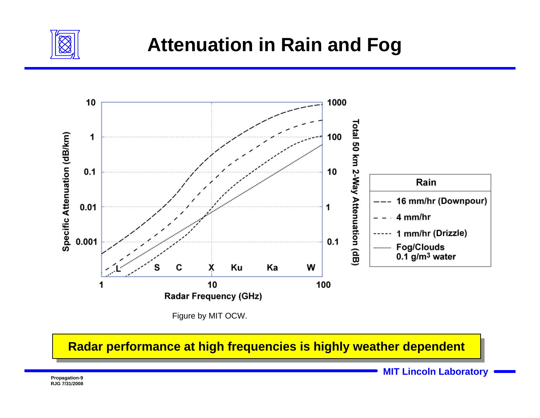

#### **Attenuation in Rain and Fog**



Figure by MIT OCW.

**Radar performance at high frequencies is highly weather dependent**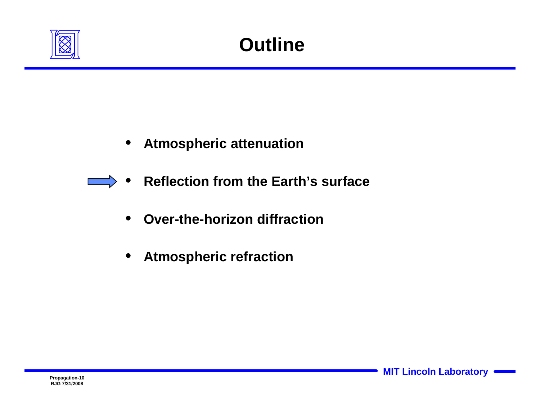

- **Atmospheric attenuation**
- **Reflection from the Earth's surface**  $\overline{\phantom{a}}$ 
	- **Over-the-horizon diffraction**
	- **Atmospheric refraction**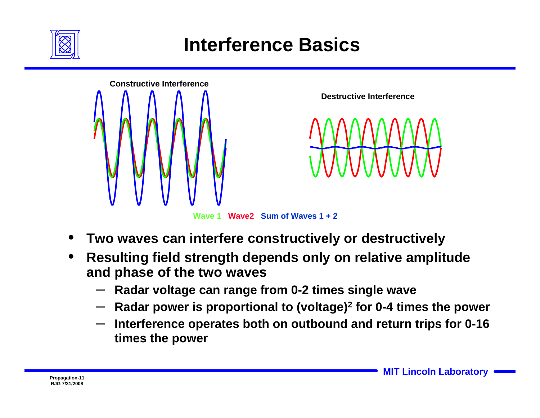

#### **Interference Basics**



**Wave 1 Wave2 Sum of Waves 1 + 2**

- **Two waves can interfere constructively or destructively**
- **Resulting field strength depends only on relative amplitude and phase of the two waves**
	- **Radar voltage can range from 0-2 times single wave**
	- **Radar power is proportional to (voltage)2 for 0-4 times the power**
	- **Interference operates both on outbound and return trips for 0-16 times the power**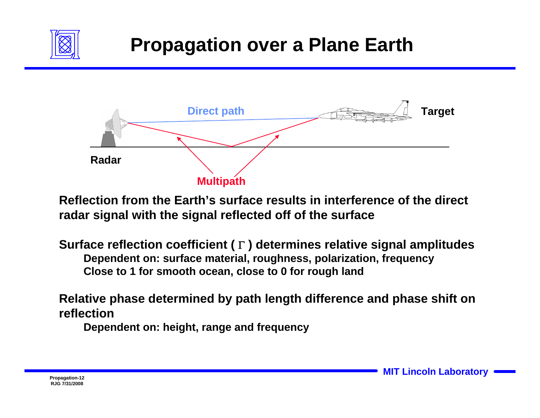

#### **Propagation over a Plane Earth**



**Reflection from the Earth's surface results in interference of the direct radar signal with the signal reflected off of the surface**

**Surface reflection coefficient (** <sup>Γ</sup> **) determines relative signal amplitudes Close to 1 for smooth ocean, close to 0 for rough land Dependent on: surface material, roughness, polarization, frequency**

**Relative phase determined by path length difference and phase shift on reflection**

**Dependent on: height, range and frequency**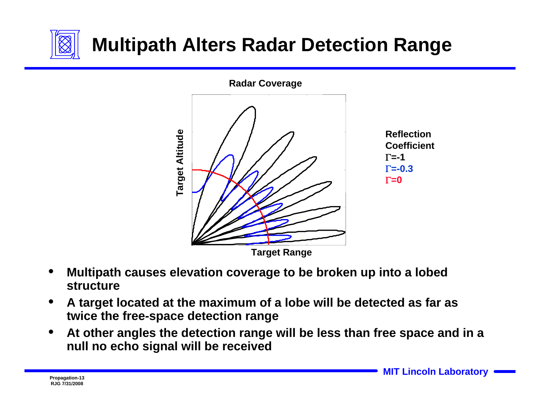

## **Multipath Alters Radar Detection Range**



- **Multipath causes elevation coverage to be broken up into a lobed structure**
- **A target located at the maximum of a lobe will be detected as far as twice the free-space detection range**
- **At other angles the detection range will be less than free space and in a null no echo signal will be received**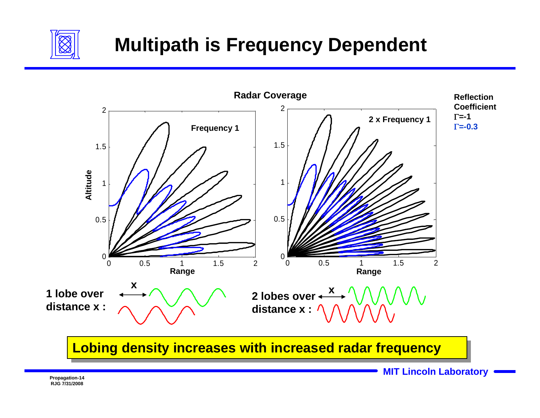

### **Multipath is Frequency Dependent**



**Lobing density increases with increased radar frequency** 

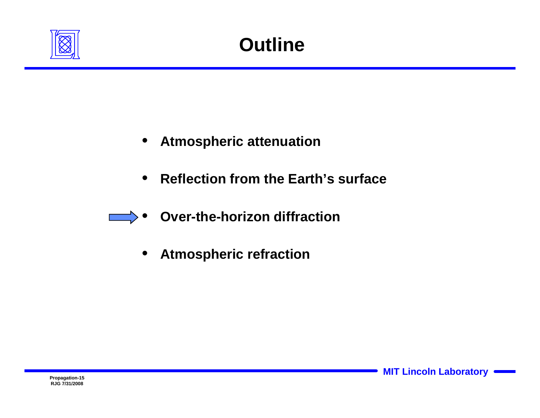

- **Atmospheric attenuation**
- **Reflection from the Earth's surface**
- **Over-the-horizon diffraction**
	- **Atmospheric refraction**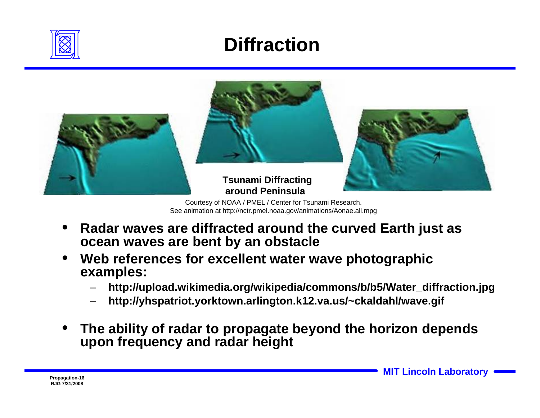

#### **Diffraction**



Courtesy of NOAA / PMEL / Center for Tsunami Research. See animation at http://nctr.pmel.noaa.gov/animations/Aonae.all.mpg

- **Radar waves are diffracted around the curved Earth just as ocean waves are bent by an obstacle**
- **Web references for excellent water wave photographic examples:**
	- **http://upload.wikimedia.org/wikipedia/commons/b/b5/Water\_diffraction.jpg**
	- **http://yhspatriot.yorktown.arlington.k12.va.us/~ckaldahl/wave.gif**
- **The ability of radar to propagate beyond the horizon depends upon frequency and radar height**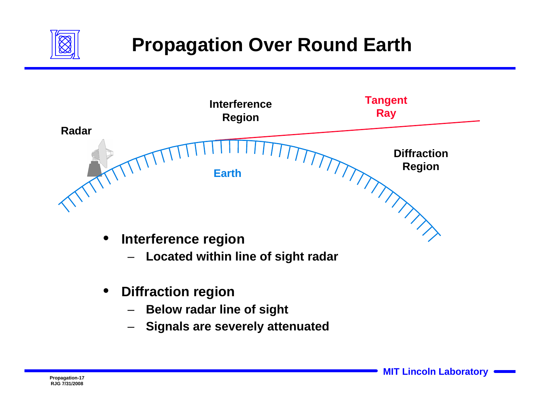

### **Propagation Over Round Earth**



- **Diffraction region**
	- **Below radar line of sight**
	- **Signals are severely attenuated**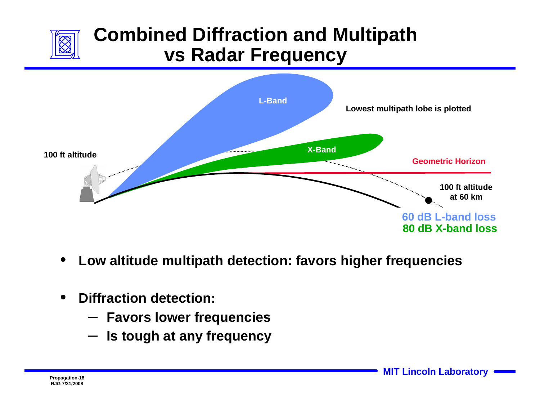

#### **Combined Diffraction and Multipath vs Radar Frequency**



- **Low altitude multipath detection: favors higher frequencies**
- **Diffraction detection:** 
	- **Favors lower frequencies**
	- **Is tough at any frequency**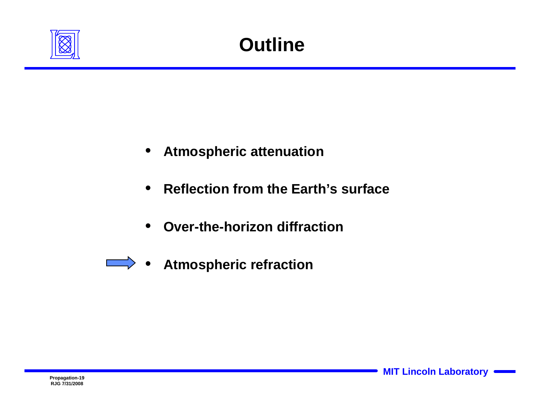

- **Atmospheric attenuation**
- **Reflection from the Earth's surface**
- **Over-the-horizon diffraction**
- **•** Atmospheric refraction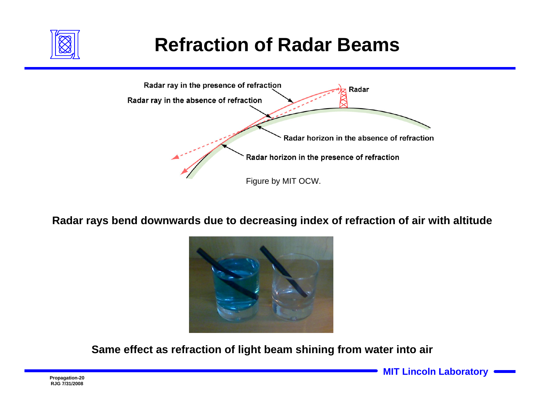

### **Refraction of Radar Beams**



**Radar rays bend downwards due to decreasing index of refraction of air with altitude**



**Same effect as refraction of light beam shining from water into air**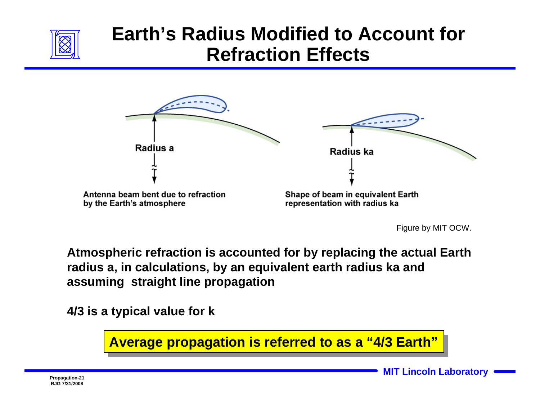

#### **Earth's Radius Modified to Account for Refraction Effects**



Figure by MIT OCW.

**Atmospheric refraction is accounted for by replacing the actual Earth radius a, in calculations, by an equivalent earth radius ka and assuming straight line propagation** 

**4/3 is a typical value for k** 

**Average propagation is referred to as a "4/3 Earth" Average propagation is referred to as a "4/3 Earth"**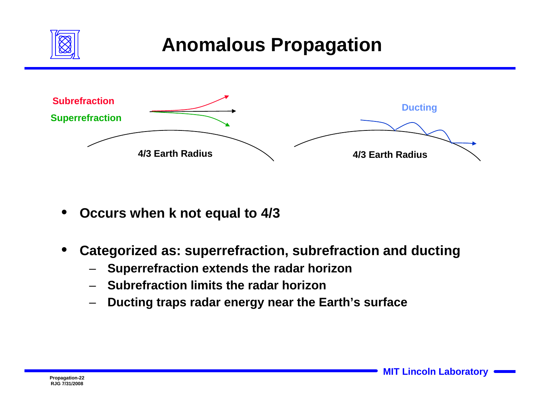

#### **Anomalous Propagation**



• **Occurs when k not equal to 4/3**

• **Categorized as: superrefraction, subrefraction and ducting**

- **Superrefraction extends the radar horizon**
- **Subrefraction limits the radar horizon**
- **Ducting traps radar energy near the Earth's surface**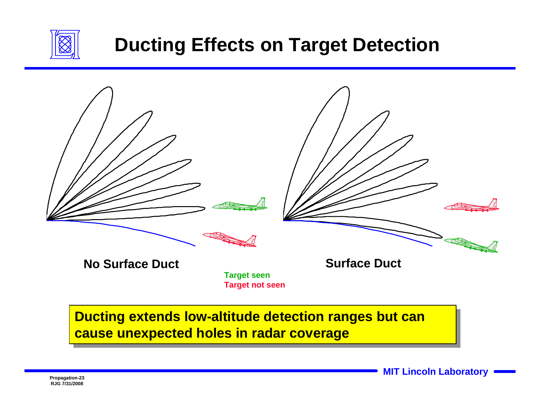

#### **Ducting Effects on Target Detection**



#### **Ducting extends low-altitude detection ranges but can Ducting extends low-altitude detection ranges but can cause unexpected holes in radar coverage cause unexpected holes in radar coverage**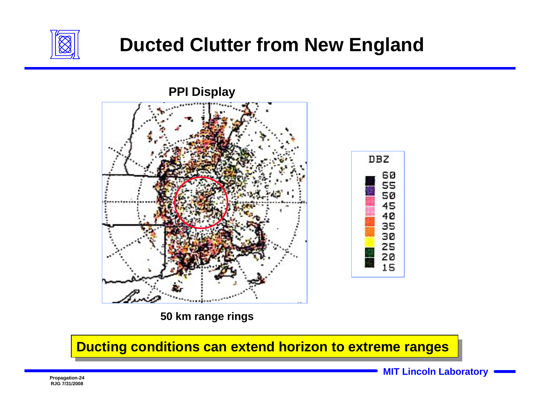

#### **Ducted Clutter from New England**



**50 km range rings**

#### **Ducting conditions can extend horizon to extreme ranges**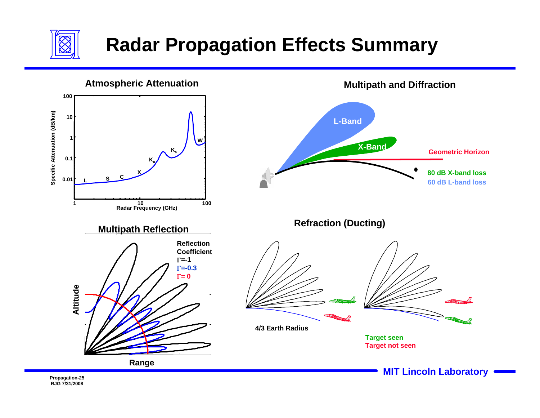

### **Radar Propagation Effects Summary**